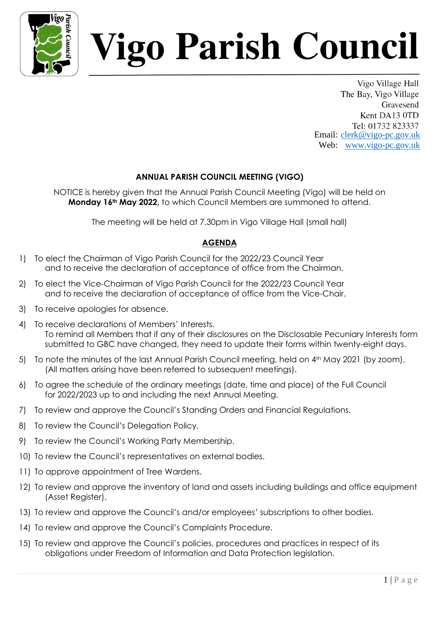

## igo Parish Council

Vigo Village Hall The Bay, Vigo Village Gravesend Kent DA13 0TD Tel: 01732 823337 Email: clerk@vigo-pc.gov.uk Web: www.vigo-pc.gov.uk

## **ANNUAL PARISH COUNCIL MEETING (VIGO)**

NOTICE is hereby given that the Annual Parish Council Meeting (Vigo) will be held on **Monday 16th May 2022,** to which Council Members are summoned to attend.

The meeting will be held at 7.30pm in Vigo Village Hall (small hall)

## **AGENDA**

- 1) To elect the Chairman of Vigo Parish Council for the 2022/23 Council Year and to receive the declaration of acceptance of office from the Chairman.
- 2) To elect the Vice-Chairman of Vigo Parish Council for the 2022/23 Council Year and to receive the declaration of acceptance of office from the Vice-Chair.
- 3) To receive apologies for absence.
- 4) To receive declarations of Members' Interests. To remind all Members that if any of their disclosures on the Disclosable Pecuniary Interests form submitted to GBC have changed, they need to update their forms within twenty-eight days.
- 5) To note the minutes of the last Annual Parish Council meeting, held on 4<sup>th</sup> May 2021 (by zoom). (All matters arising have been referred to subsequent meetings).
- 6) To agree the schedule of the ordinary meetings (date, time and place) of the Full Council for 2022/2023 up to and including the next Annual Meeting.
- 7) To review and approve the Council's Standing Orders and Financial Regulations.
- 8) To review the Council's Delegation Policy.
- 9) To review the Council's Working Party Membership.
- 10) To review the Council's representatives on external bodies.
- 11) To approve appointment of Tree Wardens.
- 12) To review and approve the inventory of land and assets including buildings and office equipment (Asset Register).
- 13) To review and approve the Council's and/or employees' subscriptions to other bodies.
- 14) To review and approve the Council's Complaints Procedure.
- 15) To review and approve the Council's policies, procedures and practices in respect of its obligations under Freedom of Information and Data Protection legislation.